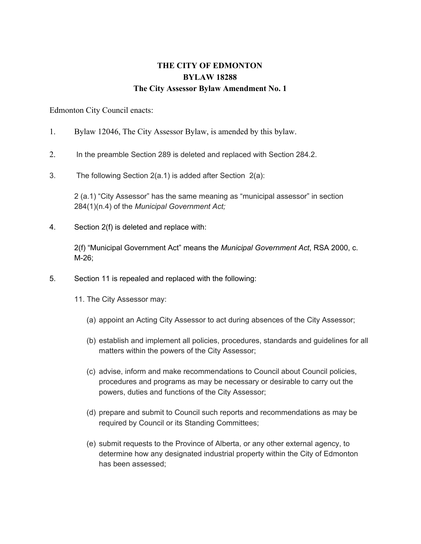## **THE CITY OF EDMONTON BYLAW 18288 The City Assessor Bylaw Amendment No. 1**

Edmonton City Council enacts:

- 1. Bylaw 12046, The City Assessor Bylaw, is amended by this bylaw.
- 2. In the preamble Section 289 is deleted and replaced with Section 284.2.
- 3. The following Section 2(a.1) is added after Section 2(a):

2 (a.1) "City Assessor" has the same meaning as "municipal assessor" in section 284(1)(n.4) of the *Municipal Government Act;*

4. Section 2(f) is deleted and replace with:

2(f) "Municipal Government Act" means the *Municipal Government Act*, RSA 2000, c. M-26;

- 5. Section 11 is repealed and replaced with the following:
	- 11. The City Assessor may:
		- (a) appoint an Acting City Assessor to act during absences of the City Assessor;
		- (b) establish and implement all policies, procedures, standards and guidelines for all matters within the powers of the City Assessor;
		- (c) advise, inform and make recommendations to Council about Council policies, procedures and programs as may be necessary or desirable to carry out the powers, duties and functions of the City Assessor;
		- (d) prepare and submit to Council such reports and recommendations as may be required by Council or its Standing Committees;
		- (e) submit requests to the Province of Alberta, or any other external agency, to determine how any designated industrial property within the City of Edmonton has been assessed;